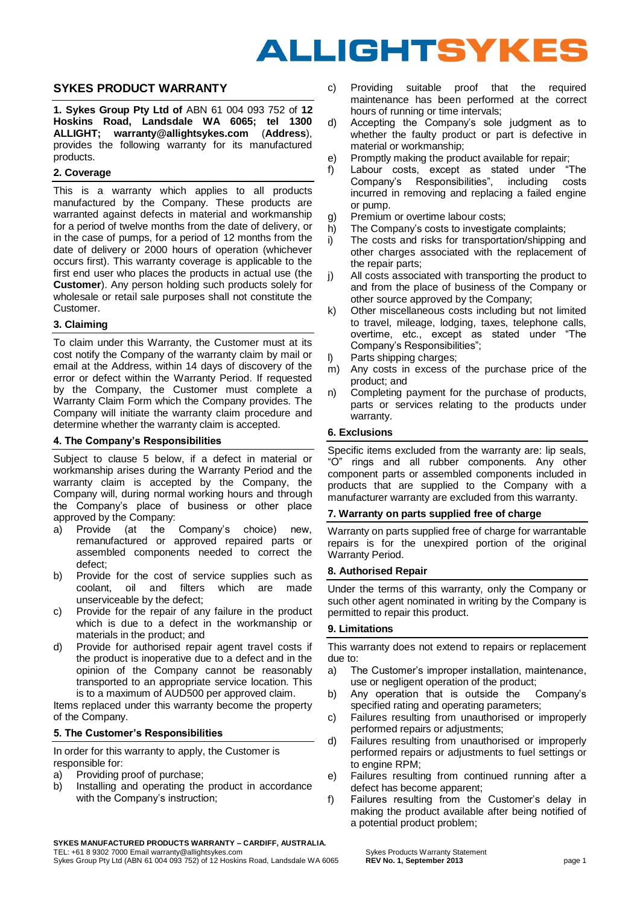# **ALLIGHTSYKES**

## **SYKES PRODUCT WARRANTY**

**1. Sykes Group Pty Ltd of** ABN 61 004 093 752 of **12 Hoskins Road, Landsdale WA 6065; tel 1300 ALLIGHT; warranty@allightsykes.com** (**Address**), provides the following warranty for its manufactured products.

#### **2. Coverage**

This is a warranty which applies to all products manufactured by the Company. These products are warranted against defects in material and workmanship for a period of twelve months from the date of delivery, or in the case of pumps, for a period of 12 months from the date of delivery or 2000 hours of operation (whichever occurs first). This warranty coverage is applicable to the first end user who places the products in actual use (the **Customer**). Any person holding such products solely for wholesale or retail sale purposes shall not constitute the Customer.

#### **3. Claiming**

To claim under this Warranty, the Customer must at its cost notify the Company of the warranty claim by mail or email at the Address, within 14 days of discovery of the error or defect within the Warranty Period. If requested by the Company, the Customer must complete a Warranty Claim Form which the Company provides. The Company will initiate the warranty claim procedure and determine whether the warranty claim is accepted.

#### **4. The Company's Responsibilities**

Subject to clause 5 below, if a defect in material or workmanship arises during the Warranty Period and the warranty claim is accepted by the Company, the Company will, during normal working hours and through the Company's place of business or other place approved by the Company:

- a) Provide (at the Company's choice) new, remanufactured or approved repaired parts or assembled components needed to correct the defect;
- b) Provide for the cost of service supplies such as coolant, oil and filters which are made unserviceable by the defect;
- c) Provide for the repair of any failure in the product which is due to a defect in the workmanship or materials in the product; and
- d) Provide for authorised repair agent travel costs if the product is inoperative due to a defect and in the opinion of the Company cannot be reasonably transported to an appropriate service location. This is to a maximum of AUD500 per approved claim.

Items replaced under this warranty become the property of the Company.

#### **5. The Customer's Responsibilities**

In order for this warranty to apply, the Customer is responsible for:

- a) Providing proof of purchase;
- b) Installing and operating the product in accordance with the Company's instruction;
- c) Providing suitable proof that the required maintenance has been performed at the correct hours of running or time intervals;
- d) Accepting the Company's sole judgment as to whether the faulty product or part is defective in material or workmanship;
- e) Promptly making the product available for repair;
- f) Labour costs, except as stated under "The Company's Responsibilities", including costs incurred in removing and replacing a failed engine or pump.
- g) Premium or overtime labour costs;
- h) The Company's costs to investigate complaints;
- i) The costs and risks for transportation/shipping and other charges associated with the replacement of the repair parts;
- j) All costs associated with transporting the product to and from the place of business of the Company or other source approved by the Company;
- k) Other miscellaneous costs including but not limited to travel, mileage, lodging, taxes, telephone calls, overtime, etc., except as stated under "The Company's Responsibilities";
- l) Parts shipping charges;
- m) Any costs in excess of the purchase price of the product; and
- n) Completing payment for the purchase of products, parts or services relating to the products under warranty.

#### **6. Exclusions**

Specific items excluded from the warranty are: lip seals, "O" rings and all rubber components. Any other component parts or assembled components included in products that are supplied to the Company with a manufacturer warranty are excluded from this warranty.

#### **7. Warranty on parts supplied free of charge**

Warranty on parts supplied free of charge for warrantable repairs is for the unexpired portion of the original Warranty Period.

#### **8. Authorised Repair**

Under the terms of this warranty, only the Company or such other agent nominated in writing by the Company is permitted to repair this product.

#### **9. Limitations**

This warranty does not extend to repairs or replacement due to:

- a) The Customer's improper installation, maintenance, use or negligent operation of the product;
- b) Any operation that is outside the Company's specified rating and operating parameters;
- c) Failures resulting from unauthorised or improperly performed repairs or adjustments;
- d) Failures resulting from unauthorised or improperly performed repairs or adjustments to fuel settings or to engine RPM;
- e) Failures resulting from continued running after a defect has become apparent;
- f) Failures resulting from the Customer's delay in making the product available after being notified of a potential product problem;